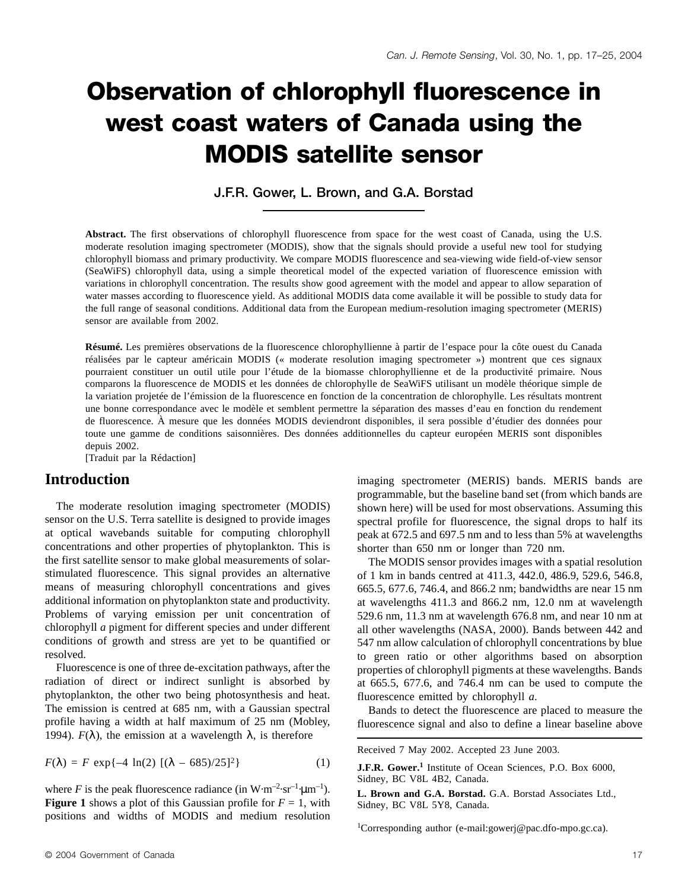# **Observation of chlorophyll fluorescence in west coast waters of Canada using the MODIS satellite sensor**

**J.F.R. Gower, L. Brown, and G.A. Borstad**

**Abstract.** The first observations of chlorophyll fluorescence from space for the west coast of Canada, using the U.S. moderate resolution imaging spectrometer (MODIS), show that the signals should provide a useful new tool for studying chlorophyll biomass and primary productivity. We compare MODIS fluorescence and sea-viewing wide field-of-view sensor (SeaWiFS) chlorophyll data, using a simple theoretical model of the expected variation of fluorescence emission with variations in chlorophyll concentration. The results show good agreement with the model and appear to allow separation of water masses according to fluorescence yield. As additional MODIS data come available it will be possible to study data for the full range of seasonal conditions. Additional data from the European medium-resolution imaging spectrometer (MERIS) sensor are available from 2002.

**Résumé.** Les premières observations de la fluorescence chlorophyllienne à partir de l'espace pour la côte ouest du Canada réalisées par le capteur américain MODIS (« moderate resolution imaging spectrometer ») montrent que ces signaux pourraient constituer un outil utile pour l'étude de la biomasse chlorophyllienne et de la productivité primaire. Nous comparons la fluorescence de MODIS et les données de chlorophylle de SeaWiFS utilisant un modèle théorique simple de la variation projetée de l'émission de la fluorescence en fonction de la concentration de chlorophylle. Les résultats montrent une bonne correspondance avec le modèle et semblent permettre la séparation des masses d'eau en fonction du rendement de fluorescence. À mesure que les données MODIS deviendront disponibles, il sera possible d'étudier des données pour toute une gamme de conditions saisonnières. Des données additionnelles du capteur européen MERIS sont disponibles depuis 2002.

[Traduit par la Rédaction]

#### **Introduction**

The moderate resolution imaging spectrometer (MODIS) sensor on the U.S. Terra satellite is designed to provide images at optical wavebands suitable for computing chlorophyll concentrations and other properties of phytoplankton. This is the first satellite sensor to make global measurements of solarstimulated fluorescence. This signal provides an alternative means of measuring chlorophyll concentrations and gives additional information on phytoplankton state and productivity. Problems of varying emission per unit concentration of chlorophyll *a* pigment for different species and under different conditions of growth and stress are yet to be quantified or resolved.

Fluorescence is one of three de-excitation pathways, after the radiation of direct or indirect sunlight is absorbed by phytoplankton, the other two being photosynthesis and heat. The emission is centred at 685 nm, with a Gaussian spectral profile having a width at half maximum of 25 nm (Mobley, 1994).  $F(\lambda)$ , the emission at a wavelength  $\lambda$ , is therefore

$$
F(\lambda) = F \exp\{-4 \ln(2) \left[ (\lambda - 685)/25 \right]^2 \} \tag{1}
$$

where *F* is the peak fluorescence radiance (in  $W \cdot m^{-2} \cdot sr^{-1} \cdot \mu m^{-1}$ ). **Figure 1** shows a plot of this Gaussian profile for  $F = 1$ , with positions and widths of MODIS and medium resolution

imaging spectrometer (MERIS) bands. MERIS bands are programmable, but the baseline band set (from which bands are shown here) will be used for most observations. Assuming this spectral profile for fluorescence, the signal drops to half its peak at 672.5 and 697.5 nm and to less than 5% at wavelengths shorter than 650 nm or longer than 720 nm.

The MODIS sensor provides images with a spatial resolution of 1 km in bands centred at 411.3, 442.0, 486.9, 529.6, 546.8, 665.5, 677.6, 746.4, and 866.2 nm; bandwidths are near 15 nm at wavelengths 411.3 and 866.2 nm, 12.0 nm at wavelength 529.6 nm, 11.3 nm at wavelength 676.8 nm, and near 10 nm at all other wavelengths (NASA, 2000). Bands between 442 and 547 nm allow calculation of chlorophyll concentrations by blue to green ratio or other algorithms based on absorption properties of chlorophyll pigments at these wavelengths. Bands at 665.5, 677.6, and 746.4 nm can be used to compute the fluorescence emitted by chlorophyll *a*.

Bands to detect the fluorescence are placed to measure the fluorescence signal and also to define a linear baseline above

Received 7 May 2002. Accepted 23 June 2003.

**J.F.R. Gower.<sup>1</sup>** Institute of Ocean Sciences, P.O. Box 6000, Sidney, BC V8L 4B2, Canada.

**L. Brown and G.A. Borstad.** G.A. Borstad Associates Ltd., Sidney, BC V8L 5Y8, Canada.

1 Corresponding author (e-mail:gowerj@pac.dfo-mpo.gc.ca).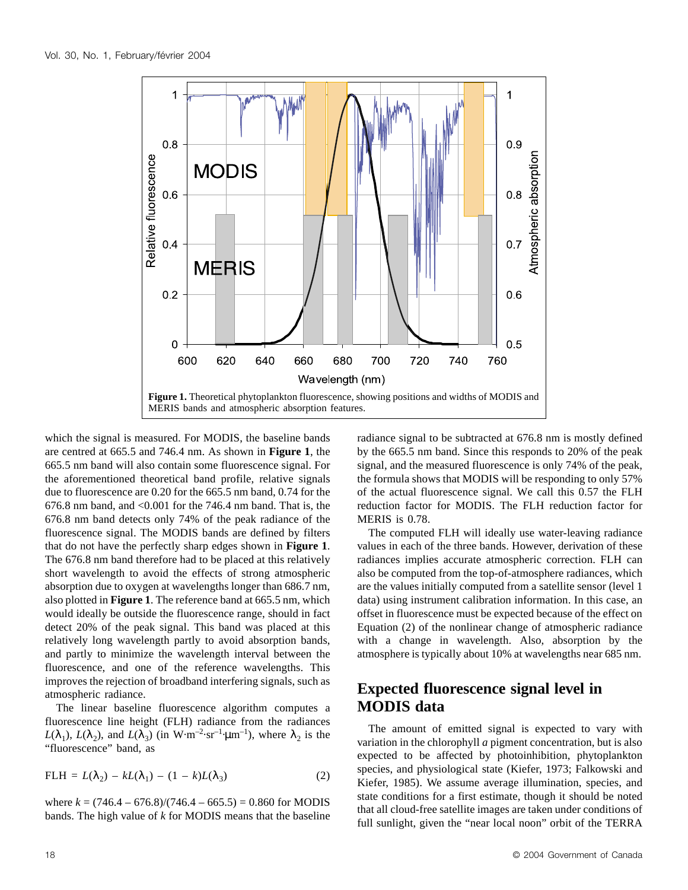

which the signal is measured. For MODIS, the baseline bands are centred at 665.5 and 746.4 nm. As shown in **Figure 1**, the 665.5 nm band will also contain some fluorescence signal. For the aforementioned theoretical band profile, relative signals due to fluorescence are 0.20 for the 665.5 nm band, 0.74 for the 676.8 nm band, and  $\leq 0.001$  for the 746.4 nm band. That is, the 676.8 nm band detects only 74% of the peak radiance of the fluorescence signal. The MODIS bands are defined by filters that do not have the perfectly sharp edges shown in **Figure 1**. The 676.8 nm band therefore had to be placed at this relatively short wavelength to avoid the effects of strong atmospheric absorption due to oxygen at wavelengths longer than 686.7 nm, also plotted in **Figure 1**. The reference band at 665.5 nm, which would ideally be outside the fluorescence range, should in fact detect 20% of the peak signal. This band was placed at this relatively long wavelength partly to avoid absorption bands, and partly to minimize the wavelength interval between the fluorescence, and one of the reference wavelengths. This improves the rejection of broadband interfering signals, such as atmospheric radiance.

The linear baseline fluorescence algorithm computes a fluorescence line height (FLH) radiance from the radiances  $L(\lambda_1)$ ,  $L(\lambda_2)$ , and  $L(\lambda_3)$  (in W·m<sup>-2</sup>·sr<sup>-1</sup>·µm<sup>-1</sup>), where  $\lambda_2$  is the "fluorescence" band, as

$$
FLH = L(\lambda_2) - kL(\lambda_1) - (1 - k)L(\lambda_3)
$$
 (2)

where  $k = (746.4 - 676.8)/(746.4 - 665.5) = 0.860$  for MODIS bands. The high value of *k* for MODIS means that the baseline radiance signal to be subtracted at 676.8 nm is mostly defined by the 665.5 nm band. Since this responds to 20% of the peak signal, and the measured fluorescence is only 74% of the peak, the formula shows that MODIS will be responding to only 57% of the actual fluorescence signal. We call this 0.57 the FLH reduction factor for MODIS. The FLH reduction factor for MERIS is 0.78.

The computed FLH will ideally use water-leaving radiance values in each of the three bands. However, derivation of these radiances implies accurate atmospheric correction. FLH can also be computed from the top-of-atmosphere radiances, which are the values initially computed from a satellite sensor (level 1 data) using instrument calibration information. In this case, an offset in fluorescence must be expected because of the effect on Equation (2) of the nonlinear change of atmospheric radiance with a change in wavelength. Also, absorption by the atmosphere is typically about 10% at wavelengths near 685 nm.

# **Expected fluorescence signal level in MODIS data**

The amount of emitted signal is expected to vary with variation in the chlorophyll *a* pigment concentration, but is also expected to be affected by photoinhibition, phytoplankton species, and physiological state (Kiefer, 1973; Falkowski and Kiefer, 1985). We assume average illumination, species, and state conditions for a first estimate, though it should be noted that all cloud-free satellite images are taken under conditions of full sunlight, given the "near local noon" orbit of the TERRA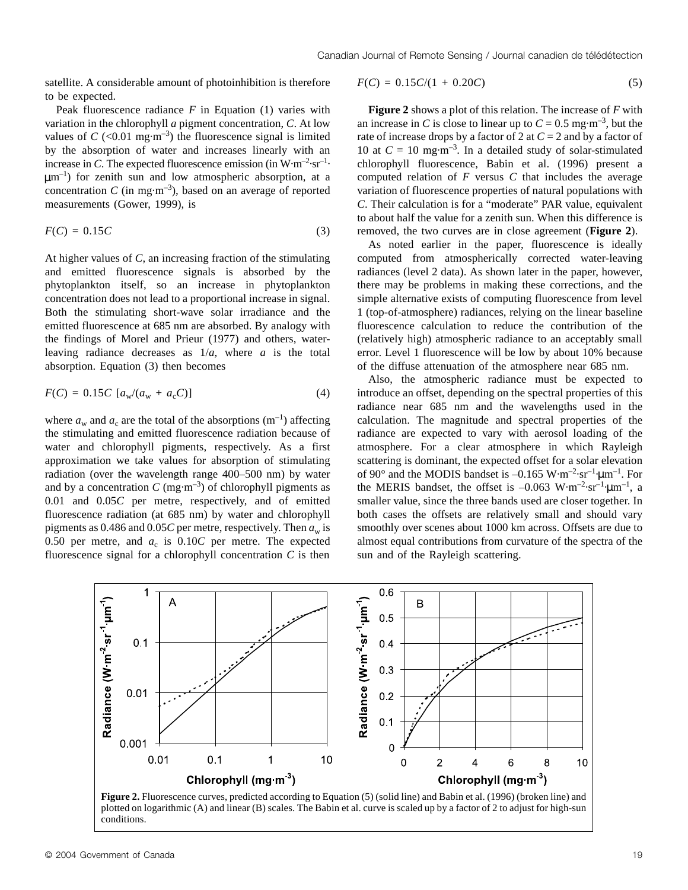satellite. A considerable amount of photoinhibition is therefore to be expected.

Peak fluorescence radiance *F* in Equation (1) varies with variation in the chlorophyll *a* pigment concentration, *C*. At low values of  $C$  (<0.01 mg·m<sup>-3</sup>) the fluorescence signal is limited by the absorption of water and increases linearly with an increase in *C*. The expected fluorescence emission (in  $W \cdot m^{-2} \cdot sr^{-1}$ )  $\mu$ m<sup>-1</sup>) for zenith sun and low atmospheric absorption, at a concentration  $C$  (in mg·m<sup>-3</sup>), based on an average of reported measurements (Gower, 1999), is

$$
F(C) = 0.15C \tag{3}
$$

At higher values of *C*, an increasing fraction of the stimulating and emitted fluorescence signals is absorbed by the phytoplankton itself, so an increase in phytoplankton concentration does not lead to a proportional increase in signal. Both the stimulating short-wave solar irradiance and the emitted fluorescence at 685 nm are absorbed. By analogy with the findings of Morel and Prieur (1977) and others, waterleaving radiance decreases as 1/*a*, where *a* is the total absorption. Equation (3) then becomes

$$
F(C) = 0.15C \, [a_w/(a_w + a_c C)] \tag{4}
$$

where  $a_w$  and  $a_c$  are the total of the absorptions (m<sup>-1</sup>) affecting the stimulating and emitted fluorescence radiation because of water and chlorophyll pigments, respectively. As a first approximation we take values for absorption of stimulating radiation (over the wavelength range 400–500 nm) by water and by a concentration  $C$  (mg·m<sup>-3</sup>) of chlorophyll pigments as 0.01 and 0.05*C* per metre, respectively, and of emitted fluorescence radiation (at 685 nm) by water and chlorophyll pigments as 0.486 and 0.05*C* per metre, respectively. Then  $a_w$  is 0.50 per metre, and  $a_c$  is 0.10*C* per metre. The expected fluorescence signal for a chlorophyll concentration *C* is then

$$
F(C) = 0.15C/(1 + 0.20C)
$$
\n(5)

**Figure 2** shows a plot of this relation. The increase of *F* with an increase in *C* is close to linear up to  $C = 0.5$  mg·m<sup>-3</sup>, but the rate of increase drops by a factor of 2 at  $C = 2$  and by a factor of 10 at  $C = 10$  mg·m<sup>-3</sup>. In a detailed study of solar-stimulated chlorophyll fluorescence, Babin et al. (1996) present a computed relation of *F* versus *C* that includes the average variation of fluorescence properties of natural populations with *C*. Their calculation is for a "moderate" PAR value, equivalent to about half the value for a zenith sun. When this difference is removed, the two curves are in close agreement (**Figure 2**).

As noted earlier in the paper, fluorescence is ideally computed from atmospherically corrected water-leaving radiances (level 2 data). As shown later in the paper, however, there may be problems in making these corrections, and the simple alternative exists of computing fluorescence from level 1 (top-of-atmosphere) radiances, relying on the linear baseline fluorescence calculation to reduce the contribution of the (relatively high) atmospheric radiance to an acceptably small error. Level 1 fluorescence will be low by about 10% because of the diffuse attenuation of the atmosphere near 685 nm.

Also, the atmospheric radiance must be expected to introduce an offset, depending on the spectral properties of this radiance near 685 nm and the wavelengths used in the calculation. The magnitude and spectral properties of the radiance are expected to vary with aerosol loading of the atmosphere. For a clear atmosphere in which Rayleigh scattering is dominant, the expected offset for a solar elevation of 90 $^{\circ}$  and the MODIS bandset is  $-0.165 \text{ W} \cdot \text{m}^{-2} \cdot \text{sr}^{-1} \cdot \text{µ} \cdot \text{m}^{-1}$ . For the MERIS bandset, the offset is  $-0.063 \text{ W} \cdot \text{m}^{-2} \cdot \text{sr}^{-1} \cdot \text{µ} \cdot \text{m}^{-1}$ , a smaller value, since the three bands used are closer together. In both cases the offsets are relatively small and should vary smoothly over scenes about 1000 km across. Offsets are due to almost equal contributions from curvature of the spectra of the sun and of the Rayleigh scattering.



**Figure 2.** Fluorescence curves, predicted according to Equation (5) (solid line) and Babin et al. (1996) (broken line) and plotted on logarithmic (A) and linear (B) scales. The Babin et al. curve is scaled up by a factor of 2 to adjust for high-sun conditions.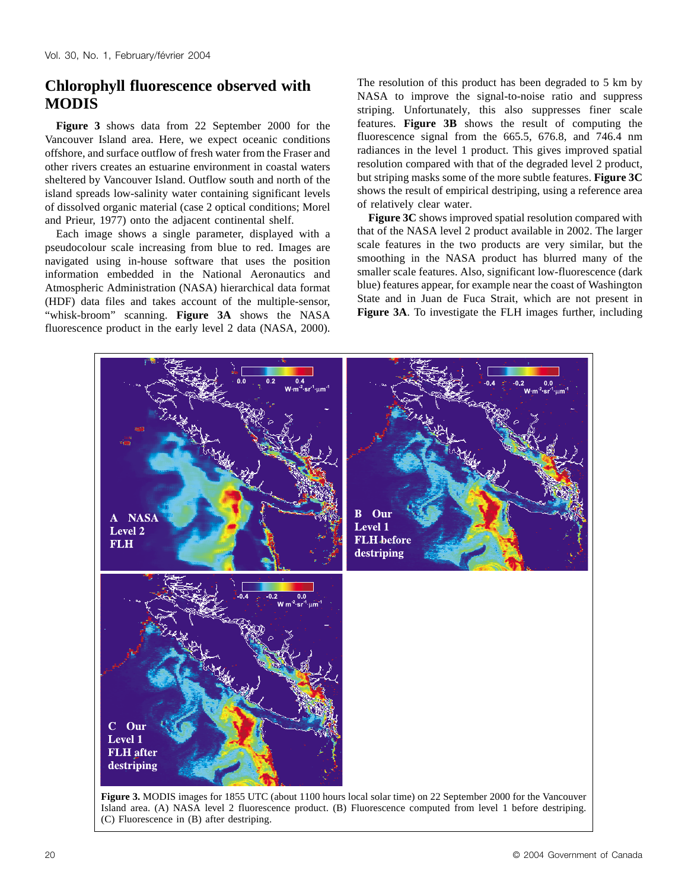## **Chlorophyll fluorescence observed with MODIS**

**Figure 3** shows data from 22 September 2000 for the Vancouver Island area. Here, we expect oceanic conditions offshore, and surface outflow of fresh water from the Fraser and other rivers creates an estuarine environment in coastal waters sheltered by Vancouver Island. Outflow south and north of the island spreads low-salinity water containing significant levels of dissolved organic material (case 2 optical conditions; Morel and Prieur, 1977) onto the adjacent continental shelf.

Each image shows a single parameter, displayed with a pseudocolour scale increasing from blue to red. Images are navigated using in-house software that uses the position information embedded in the National Aeronautics and Atmospheric Administration (NASA) hierarchical data format (HDF) data files and takes account of the multiple-sensor, "whisk-broom" scanning. **Figure 3A** shows the NASA fluorescence product in the early level 2 data (NASA, 2000).

The resolution of this product has been degraded to 5 km by NASA to improve the signal-to-noise ratio and suppress striping. Unfortunately, this also suppresses finer scale features. **Figure 3B** shows the result of computing the fluorescence signal from the 665.5, 676.8, and 746.4 nm radiances in the level 1 product. This gives improved spatial resolution compared with that of the degraded level 2 product, but striping masks some of the more subtle features. **Figure 3C** shows the result of empirical destriping, using a reference area of relatively clear water.

**Figure 3C** shows improved spatial resolution compared with that of the NASA level 2 product available in 2002. The larger scale features in the two products are very similar, but the smoothing in the NASA product has blurred many of the smaller scale features. Also, significant low-fluorescence (dark blue) features appear, for example near the coast of Washington State and in Juan de Fuca Strait, which are not present in **Figure 3A**. To investigate the FLH images further, including



Island area. (A) NASA level 2 fluorescence product. (B) Fluorescence computed from level 1 before destriping. (C) Fluorescence in (B) after destriping.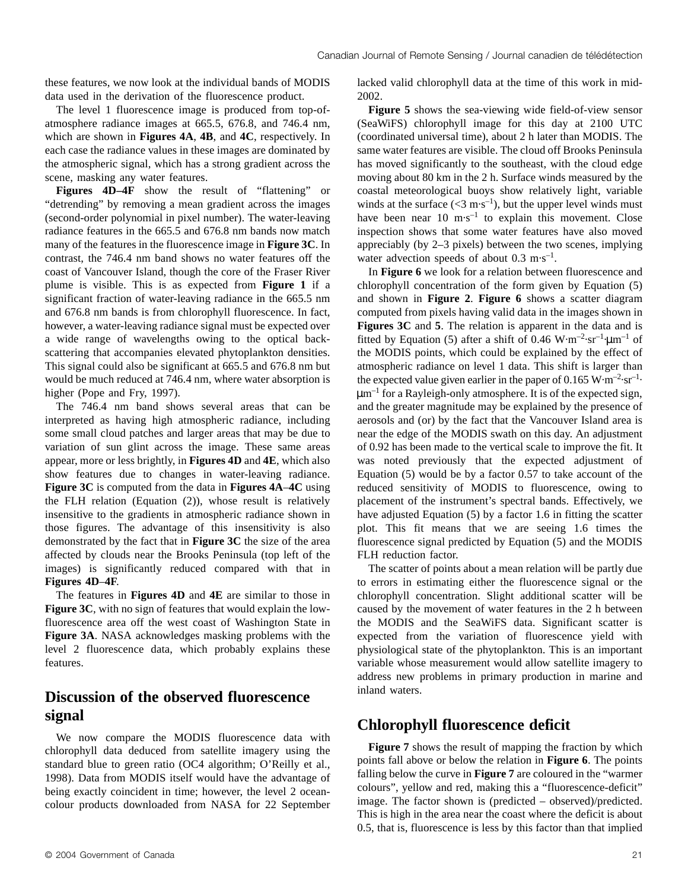these features, we now look at the individual bands of MODIS data used in the derivation of the fluorescence product.

The level 1 fluorescence image is produced from top-ofatmosphere radiance images at 665.5, 676.8, and 746.4 nm, which are shown in **Figures 4A**, **4B**, and **4C**, respectively. In each case the radiance values in these images are dominated by the atmospheric signal, which has a strong gradient across the scene, masking any water features.

**Figures 4D–4F** show the result of "flattening" or "detrending" by removing a mean gradient across the images (second-order polynomial in pixel number). The water-leaving radiance features in the 665.5 and 676.8 nm bands now match many of the features in the fluorescence image in **Figure 3C**. In contrast, the 746.4 nm band shows no water features off the coast of Vancouver Island, though the core of the Fraser River plume is visible. This is as expected from **Figure 1** if a significant fraction of water-leaving radiance in the 665.5 nm and 676.8 nm bands is from chlorophyll fluorescence. In fact, however, a water-leaving radiance signal must be expected over a wide range of wavelengths owing to the optical backscattering that accompanies elevated phytoplankton densities. This signal could also be significant at 665.5 and 676.8 nm but would be much reduced at 746.4 nm, where water absorption is higher (Pope and Fry, 1997).

The 746.4 nm band shows several areas that can be interpreted as having high atmospheric radiance, including some small cloud patches and larger areas that may be due to variation of sun glint across the image. These same areas appear, more or less brightly, in **Figures 4D** and **4E**, which also show features due to changes in water-leaving radiance. **Figure 3C** is computed from the data in **Figures 4A**–**4C** using the FLH relation (Equation (2)), whose result is relatively insensitive to the gradients in atmospheric radiance shown in those figures. The advantage of this insensitivity is also demonstrated by the fact that in **Figure 3C** the size of the area affected by clouds near the Brooks Peninsula (top left of the images) is significantly reduced compared with that in **Figures 4D**–**4F**.

The features in **Figures 4D** and **4E** are similar to those in **Figure 3C**, with no sign of features that would explain the lowfluorescence area off the west coast of Washington State in **Figure 3A**. NASA acknowledges masking problems with the level 2 fluorescence data, which probably explains these features.

## **Discussion of the observed fluorescence signal**

We now compare the MODIS fluorescence data with chlorophyll data deduced from satellite imagery using the standard blue to green ratio (OC4 algorithm; O'Reilly et al., 1998). Data from MODIS itself would have the advantage of being exactly coincident in time; however, the level 2 oceancolour products downloaded from NASA for 22 September

lacked valid chlorophyll data at the time of this work in mid-2002.

**Figure 5** shows the sea-viewing wide field-of-view sensor (SeaWiFS) chlorophyll image for this day at 2100 UTC (coordinated universal time), about 2 h later than MODIS. The same water features are visible. The cloud off Brooks Peninsula has moved significantly to the southeast, with the cloud edge moving about 80 km in the 2 h. Surface winds measured by the coastal meteorological buoys show relatively light, variable winds at the surface  $(<3 \text{ m} \cdot \text{s}^{-1})$ , but the upper level winds must have been near  $10 \text{ m} \cdot \text{s}^{-1}$  to explain this movement. Close inspection shows that some water features have also moved appreciably (by 2–3 pixels) between the two scenes, implying water advection speeds of about  $0.3 \text{ m} \cdot \text{s}^{-1}$ .

In **Figure 6** we look for a relation between fluorescence and chlorophyll concentration of the form given by Equation (5) and shown in **Figure 2**. **Figure 6** shows a scatter diagram computed from pixels having valid data in the images shown in **Figures 3C** and **5**. The relation is apparent in the data and is fitted by Equation (5) after a shift of 0.46 W·m<sup>-2</sup>·sr<sup>-1</sup>· $\mu$ m<sup>-1</sup> of the MODIS points, which could be explained by the effect of atmospheric radiance on level 1 data. This shift is larger than the expected value given earlier in the paper of  $0.165 \,\mathrm{W} \cdot \mathrm{m}^{-2} \cdot \mathrm{sr}^{-1}$ . µm–1 for a Rayleigh-only atmosphere. It is of the expected sign, and the greater magnitude may be explained by the presence of aerosols and (or) by the fact that the Vancouver Island area is near the edge of the MODIS swath on this day. An adjustment of 0.92 has been made to the vertical scale to improve the fit. It was noted previously that the expected adjustment of Equation (5) would be by a factor 0.57 to take account of the reduced sensitivity of MODIS to fluorescence, owing to placement of the instrument's spectral bands. Effectively, we have adjusted Equation (5) by a factor 1.6 in fitting the scatter plot. This fit means that we are seeing 1.6 times the fluorescence signal predicted by Equation (5) and the MODIS FLH reduction factor.

The scatter of points about a mean relation will be partly due to errors in estimating either the fluorescence signal or the chlorophyll concentration. Slight additional scatter will be caused by the movement of water features in the 2 h between the MODIS and the SeaWiFS data. Significant scatter is expected from the variation of fluorescence yield with physiological state of the phytoplankton. This is an important variable whose measurement would allow satellite imagery to address new problems in primary production in marine and inland waters.

## **Chlorophyll fluorescence deficit**

**Figure 7** shows the result of mapping the fraction by which points fall above or below the relation in **Figure 6**. The points falling below the curve in **Figure 7** are coloured in the "warmer colours", yellow and red, making this a "fluorescence-deficit" image. The factor shown is (predicted – observed)/predicted. This is high in the area near the coast where the deficit is about 0.5, that is, fluorescence is less by this factor than that implied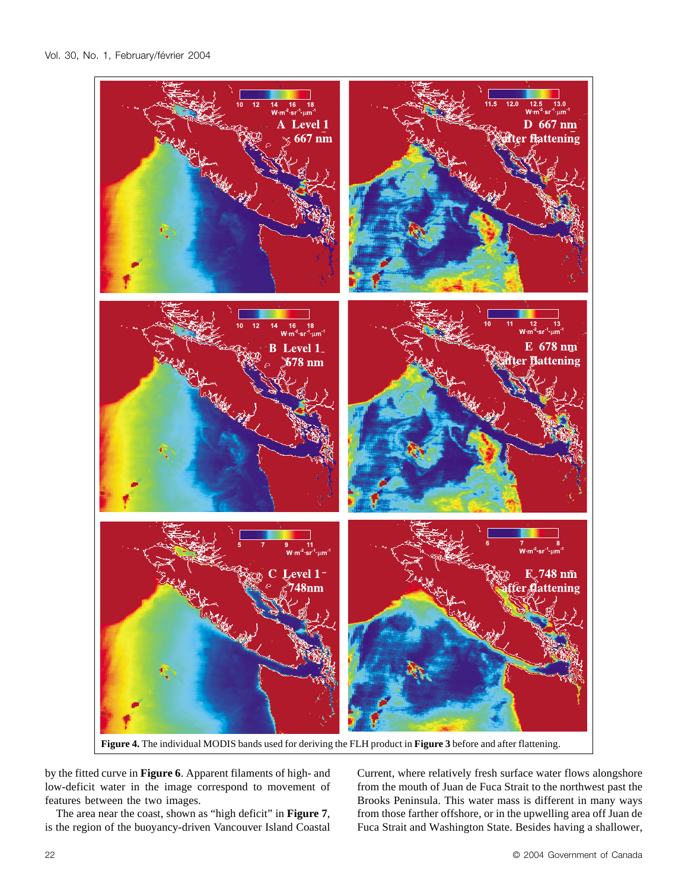

**Figure 4.** The individual MODIS bands used for deriving the FLH product in **Figure 3** before and after flattening.

by the fitted curve in **Figure 6**. Apparent filaments of high- and low-deficit water in the image correspond to movement of features between the two images.

The area near the coast, shown as "high deficit" in **Figure 7**, is the region of the buoyancy-driven Vancouver Island Coastal Current, where relatively fresh surface water flows alongshore from the mouth of Juan de Fuca Strait to the northwest past the Brooks Peninsula. This water mass is different in many ways from those farther offshore, or in the upwelling area off Juan de Fuca Strait and Washington State. Besides having a shallower,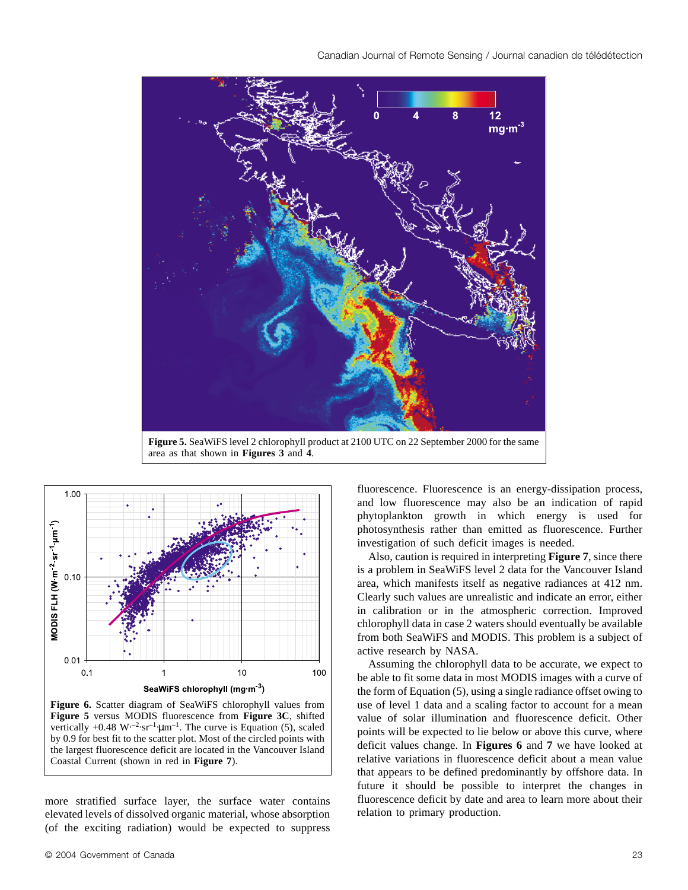



**Figure 6.** Scatter diagram of SeaWiFS chlorophyll values from **Figure 5** versus MODIS fluorescence from **Figure 3C**, shifted vertically  $+0.48 \text{ W}$ <sup>-2</sup>·sr<sup>-1</sup>·µm<sup>-1</sup>. The curve is Equation (5), scaled by 0.9 for best fit to the scatter plot. Most of the circled points with the largest fluorescence deficit are located in the Vancouver Island Coastal Current (shown in red in **Figure 7**).

more stratified surface layer, the surface water contains elevated levels of dissolved organic material, whose absorption (of the exciting radiation) would be expected to suppress

fluorescence. Fluorescence is an energy-dissipation process, and low fluorescence may also be an indication of rapid phytoplankton growth in which energy is used for photosynthesis rather than emitted as fluorescence. Further investigation of such deficit images is needed.

Also, caution is required in interpreting **Figure 7**, since there is a problem in SeaWiFS level 2 data for the Vancouver Island area, which manifests itself as negative radiances at 412 nm. Clearly such values are unrealistic and indicate an error, either in calibration or in the atmospheric correction. Improved chlorophyll data in case 2 waters should eventually be available from both SeaWiFS and MODIS. This problem is a subject of active research by NASA.

Assuming the chlorophyll data to be accurate, we expect to be able to fit some data in most MODIS images with a curve of the form of Equation (5), using a single radiance offset owing to use of level 1 data and a scaling factor to account for a mean value of solar illumination and fluorescence deficit. Other points will be expected to lie below or above this curve, where deficit values change. In **Figures 6** and **7** we have looked at relative variations in fluorescence deficit about a mean value that appears to be defined predominantly by offshore data. In future it should be possible to interpret the changes in fluorescence deficit by date and area to learn more about their relation to primary production.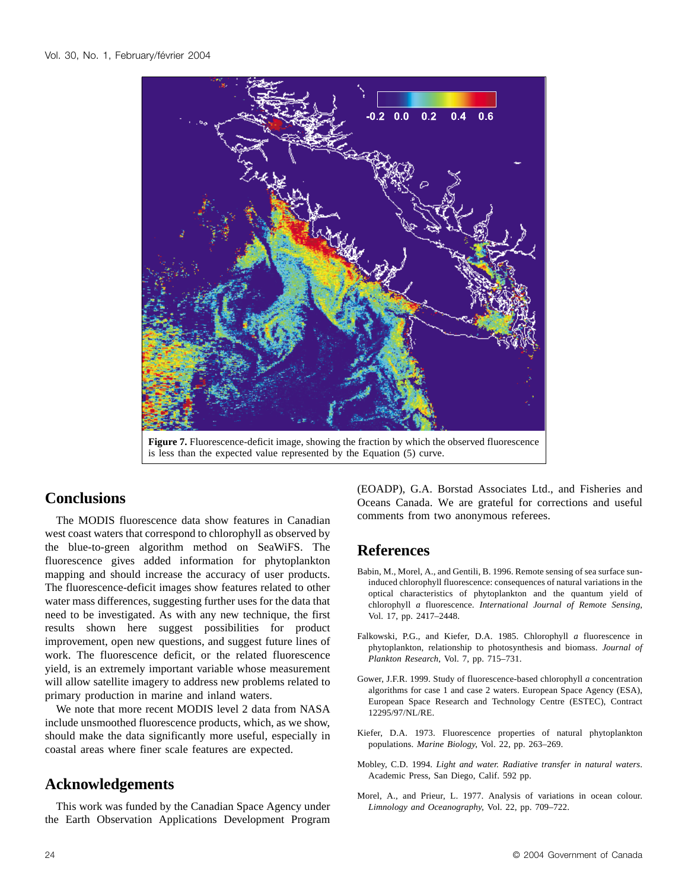

#### **Conclusions**

The MODIS fluorescence data show features in Canadian west coast waters that correspond to chlorophyll as observed by the blue-to-green algorithm method on SeaWiFS. The fluorescence gives added information for phytoplankton mapping and should increase the accuracy of user products. The fluorescence-deficit images show features related to other water mass differences, suggesting further uses for the data that need to be investigated. As with any new technique, the first results shown here suggest possibilities for product improvement, open new questions, and suggest future lines of work. The fluorescence deficit, or the related fluorescence yield, is an extremely important variable whose measurement will allow satellite imagery to address new problems related to primary production in marine and inland waters.

We note that more recent MODIS level 2 data from NASA include unsmoothed fluorescence products, which, as we show, should make the data significantly more useful, especially in coastal areas where finer scale features are expected.

## **Acknowledgements**

This work was funded by the Canadian Space Agency under the Earth Observation Applications Development Program

(EOADP), G.A. Borstad Associates Ltd., and Fisheries and Oceans Canada. We are grateful for corrections and useful comments from two anonymous referees.

## **References**

- Babin, M., Morel, A., and Gentili, B. 1996. Remote sensing of sea surface suninduced chlorophyll fluorescence: consequences of natural variations in the optical characteristics of phytoplankton and the quantum yield of chlorophyll *a* fluorescence. *International Journal of Remote Sensing*, Vol. 17, pp. 2417–2448.
- Falkowski, P.G., and Kiefer, D.A. 1985. Chlorophyll *a* fluorescence in phytoplankton, relationship to photosynthesis and biomass. *Journal of Plankton Research*, Vol. 7, pp. 715–731.
- Gower, J.F.R. 1999. Study of fluorescence-based chlorophyll *a* concentration algorithms for case 1 and case 2 waters. European Space Agency (ESA), European Space Research and Technology Centre (ESTEC), Contract 12295/97/NL/RE.
- Kiefer, D.A. 1973. Fluorescence properties of natural phytoplankton populations. *Marine Biology*, Vol. 22, pp. 263–269.
- Mobley, C.D. 1994. *Light and water. Radiative transfer in natural waters*. Academic Press, San Diego, Calif. 592 pp.
- Morel, A., and Prieur, L. 1977. Analysis of variations in ocean colour. *Limnology and Oceanography*, Vol. 22, pp. 709–722.